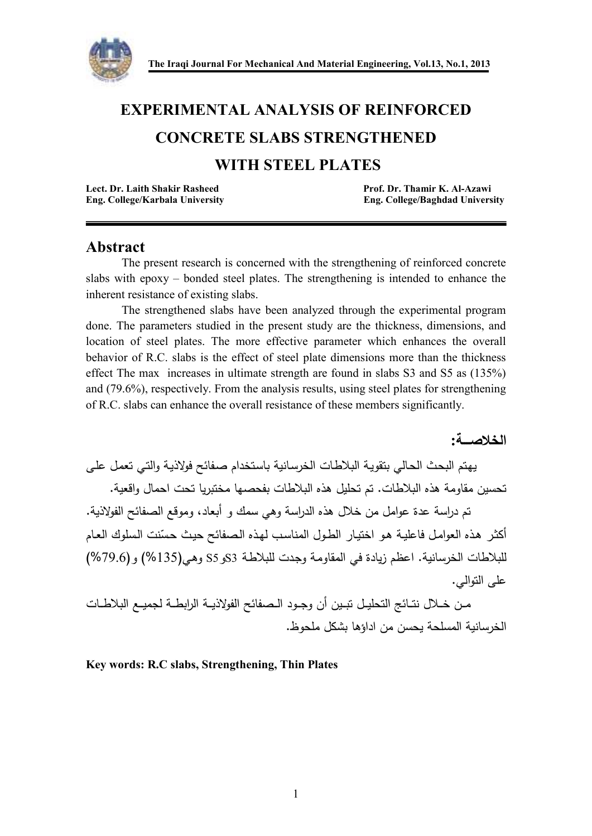

# **EXPERIMENTAL ANALYSIS OF REINFORCED**

## **CONCRETE SLABS STRENGTHENED**

## **WITH STEEL PLATES**

| Lect. Dr. Laith Shakir Rasheed |                                 |
|--------------------------------|---------------------------------|
|                                | Eng. College/Karbala University |

Prof. Dr. Thamir K. Al-Azawi **Eng. College/Baghdad University** 

## **Abstract**

 The present research is concerned with the strengthening of reinforced concrete slabs with epoxy – bonded steel plates. The strengthening is intended to enhance the inherent resistance of existing slabs.

 The strengthened slabs have been analyzed through the experimental program done. The parameters studied in the present study are the thickness, dimensions, and location of steel plates. The more effective parameter which enhances the overall behavior of R.C. slabs is the effect of steel plate dimensions more than the thickness effect The max increases in ultimate strength are found in slabs S3 and S5 as (135%) and (79.6%), respectively. From the analysis results, using steel plates for strengthening of R.C. slabs can enhance the overall resistance of these members significantly.

**الخلاصــــة:** 

 يهـتم البحـث الحـالي بتقويـة البلاطـات الخرسـانية باسـتخدام صـفائح فولاذيـة والتـي تعمـل علـى تحسين مقاومة هذه البلاطات. تم تحليل هذه البلاطات بفحصها مختبريا تحت احمال واقعية .

تم دراسة عدة عوامل من خلال هذه الدراسة وهي سمك و أبعاد، وموقع الصفائح الفولاذية. أكثـر هـذه العوامـل فاعليـة هـو اختيـار الطـول المناسـب لهـذه الـصفائح حيـث حـسنت الـسلوك العـام ّ للبلاطات الخرسانية. اعظم زيادة في المقاومـة وجـدت للبلاطـة 3Sو5S وهـي(%135) (و %79.6) على النوالي.

مــن خــلال نتــائج التحليــل تبــين أن وجــود الــصفائح الفولاذيــة الرابطــة لجميــع البلاطــات الخرسانية المسلحة يحسن من اداؤها بشكل ملحوظ .

**Key words: R.C slabs, Strengthening, Thin Plates**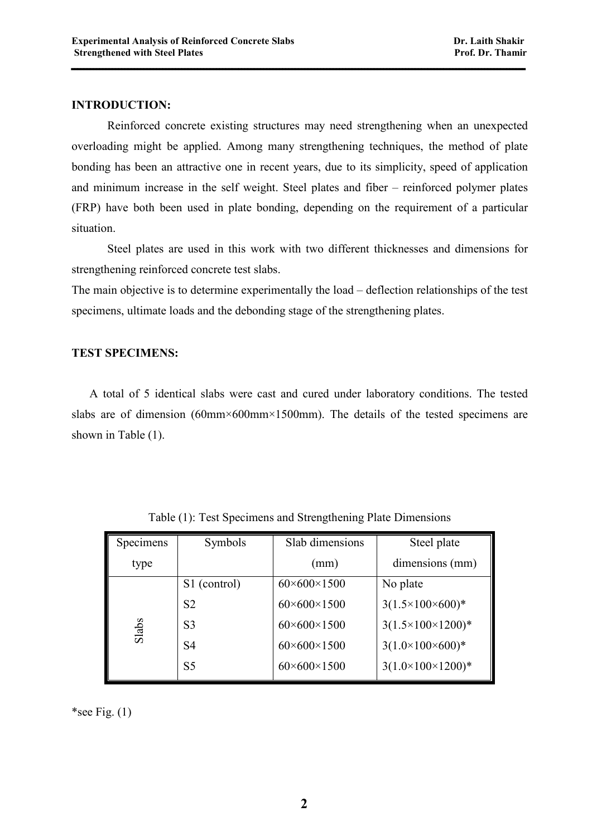## **INTRODUCTION:**

 Reinforced concrete existing structures may need strengthening when an unexpected overloading might be applied. Among many strengthening techniques, the method of plate bonding has been an attractive one in recent years, due to its simplicity, speed of application and minimum increase in the self weight. Steel plates and fiber – reinforced polymer plates (FRP) have both been used in plate bonding, depending on the requirement of a particular situation.

**ــــــــــــــــــــــــــــــــــــــــــــــــــــــــــــــــــــــــــــــــــــــــــــــــــــــــــــــــــــــــــــــــــــــــــــــــ**

 Steel plates are used in this work with two different thicknesses and dimensions for strengthening reinforced concrete test slabs.

The main objective is to determine experimentally the load – deflection relationships of the test specimens, ultimate loads and the debonding stage of the strengthening plates.

## **TEST SPECIMENS:**

 A total of 5 identical slabs were cast and cured under laboratory conditions. The tested slabs are of dimension (60mm×600mm×1500mm). The details of the tested specimens are shown in Table (1).

| Specimens | Symbols        | Slab dimensions             | Steel plate                  |  |
|-----------|----------------|-----------------------------|------------------------------|--|
| type      |                | (mm)                        | dimensions (mm)              |  |
| Slabs     | S1 (control)   | $60 \times 600 \times 1500$ | No plate                     |  |
|           | S <sub>2</sub> | $60 \times 600 \times 1500$ | $3(1.5\times100\times600)*$  |  |
|           | S <sub>3</sub> | $60 \times 600 \times 1500$ | $3(1.5\times100\times1200)*$ |  |
|           | S4             | $60 \times 600 \times 1500$ | $3(1.0\times100\times600)*$  |  |
|           | S <sub>5</sub> | $60 \times 600 \times 1500$ | $3(1.0\times100\times1200)*$ |  |

Table (1): Test Specimens and Strengthening Plate Dimensions

\*see Fig.  $(1)$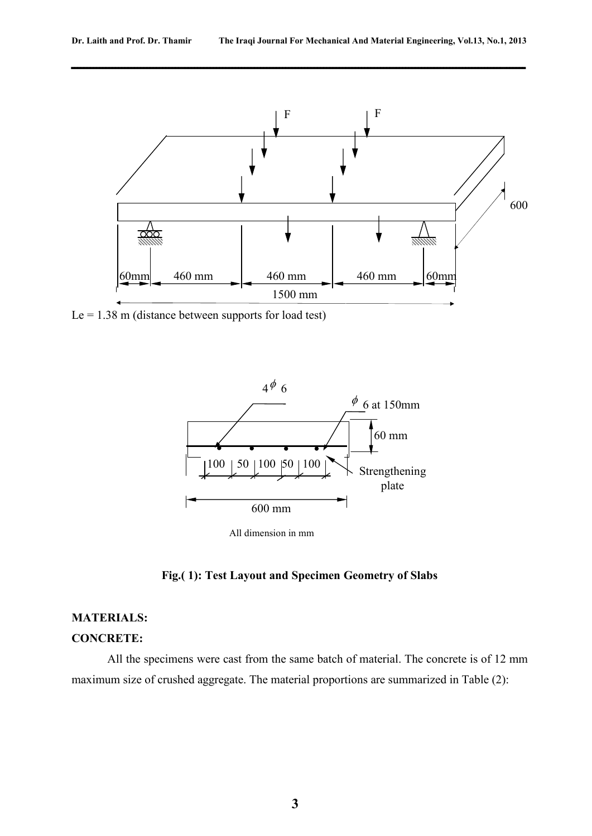



Le =  $1.38$  m (distance between supports for load test)



**Fig.( 1): Test Layout and Specimen Geometry of Slabs** 

## **MATERIALS:**

#### **CONCRETE:**

 All the specimens were cast from the same batch of material. The concrete is of 12 mm maximum size of crushed aggregate. The material proportions are summarized in Table (2):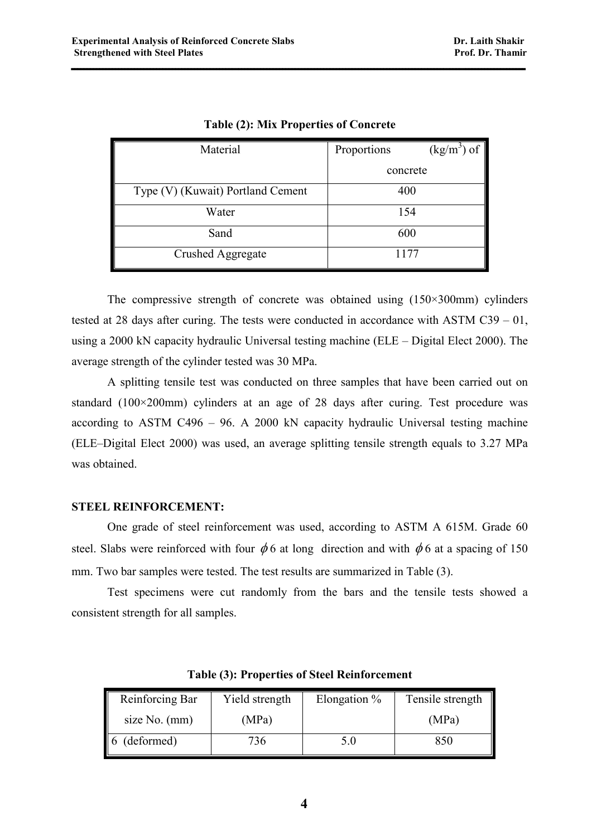| Material                          | Proportions | $(\text{kg/m}^3)$ of $\parallel$ |  |
|-----------------------------------|-------------|----------------------------------|--|
|                                   | concrete    |                                  |  |
| Type (V) (Kuwait) Portland Cement | 400         |                                  |  |
| Water                             | 154         |                                  |  |
| Sand                              | 600         |                                  |  |
| Crushed Aggregate                 | 1177        |                                  |  |

**Table (2): Mix Properties of Concrete** 

 The compressive strength of concrete was obtained using (150×300mm) cylinders tested at 28 days after curing. The tests were conducted in accordance with ASTM C39 – 01, using a 2000 kN capacity hydraulic Universal testing machine (ELE – Digital Elect 2000). The average strength of the cylinder tested was 30 MPa.

 A splitting tensile test was conducted on three samples that have been carried out on standard (100×200mm) cylinders at an age of 28 days after curing. Test procedure was according to ASTM C496 – 96. A 2000 kN capacity hydraulic Universal testing machine (ELE–Digital Elect 2000) was used, an average splitting tensile strength equals to 3.27 MPa was obtained.

## **STEEL REINFORCEMENT:**

 One grade of steel reinforcement was used, according to ASTM A 615M. Grade 60 steel. Slabs were reinforced with four  $\phi$  6 at long direction and with  $\phi$  6 at a spacing of 150 mm. Two bar samples were tested. The test results are summarized in Table (3).

 Test specimens were cut randomly from the bars and the tensile tests showed a consistent strength for all samples.

| Reinforcing Bar | Yield strength | Elongation % | Tensile strength |
|-----------------|----------------|--------------|------------------|
| size No. (mm)   | (MPa)          |              | (MPa)            |
| 6 (deformed)    | 736            | 5.0          | 850              |

**Table (3): Properties of Steel Reinforcement**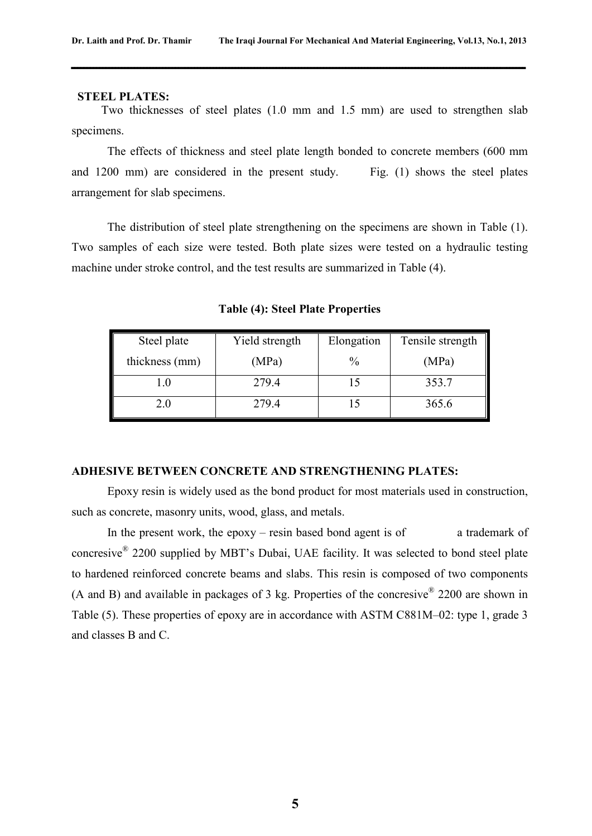#### **STEEL PLATES:**

 Two thicknesses of steel plates (1.0 mm and 1.5 mm) are used to strengthen slab specimens.

 The effects of thickness and steel plate length bonded to concrete members (600 mm and 1200 mm) are considered in the present study. Fig. (1) shows the steel plates arrangement for slab specimens.

 The distribution of steel plate strengthening on the specimens are shown in Table (1). Two samples of each size were tested. Both plate sizes were tested on a hydraulic testing machine under stroke control, and the test results are summarized in Table (4).

Steel plate thickness (mm) Yield strength (MPa) Elongation  $\frac{0}{0}$ Tensile strength (MPa) 1.0 | 279.4 | 15 | 353.7 2.0 | 279.4 | 15 | 365.6

**Table (4): Steel Plate Properties** 

## **ADHESIVE BETWEEN CONCRETE AND STRENGTHENING PLATES:**

 Epoxy resin is widely used as the bond product for most materials used in construction, such as concrete, masonry units, wood, glass, and metals.

In the present work, the epoxy – resin based bond agent is of  $\alpha$  trademark of concresive® 2200 supplied by MBT's Dubai, UAE facility. It was selected to bond steel plate to hardened reinforced concrete beams and slabs. This resin is composed of two components (A and B) and available in packages of 3 kg. Properties of the concresive  $^{\circ}$  2200 are shown in Table (5). These properties of epoxy are in accordance with ASTM C881M–02: type 1, grade 3 and classes B and C.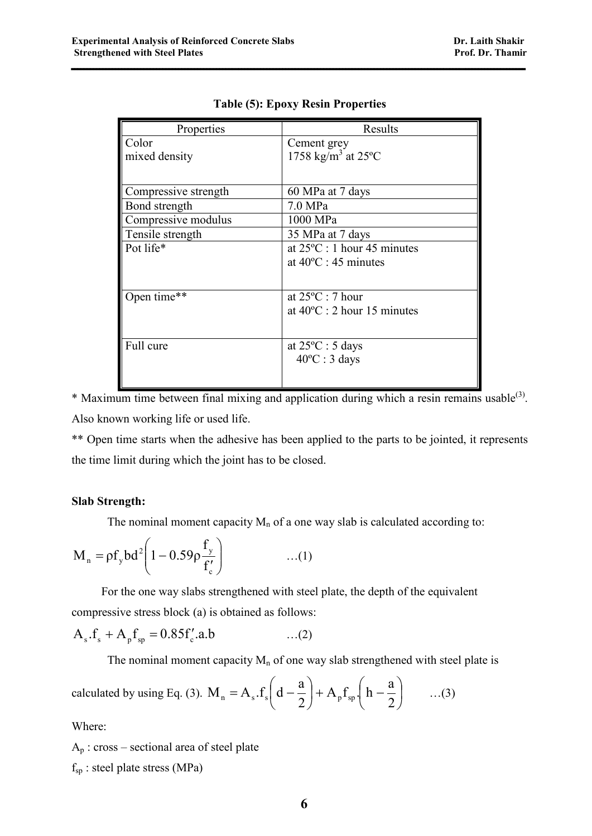| Properties           | Results                                   |  |  |
|----------------------|-------------------------------------------|--|--|
| Color                | Cement grey                               |  |  |
| mixed density        | 1758 kg/m <sup>3</sup> at 25 $^{\circ}$ C |  |  |
|                      |                                           |  |  |
| Compressive strength | 60 MPa at 7 days                          |  |  |
| Bond strength        | $7.0 \text{ MPa}$                         |  |  |
| Compressive modulus  | 1000 MPa                                  |  |  |
| Tensile strength     | 35 MPa at 7 days                          |  |  |
| Pot life*            | at $25^{\circ}$ C : 1 hour 45 minutes     |  |  |
|                      | at $40^{\circ}$ C : 45 minutes            |  |  |
|                      |                                           |  |  |
| Open time**          | at $25^{\circ}$ C : 7 hour                |  |  |
|                      | at $40^{\circ}$ C : 2 hour 15 minutes     |  |  |
|                      |                                           |  |  |
| Full cure            | at $25^{\circ}$ C : 5 days                |  |  |
|                      | $40^{\circ}$ C : 3 days                   |  |  |
|                      |                                           |  |  |
|                      |                                           |  |  |

**Table (5): Epoxy Resin Properties** 

\* Maximum time between final mixing and application during which a resin remains usable<sup>(3)</sup>. Also known working life or used life.

\*\* Open time starts when the adhesive has been applied to the parts to be jointed, it represents the time limit during which the joint has to be closed.

## **Slab Strength:**

The nominal moment capacity  $M_n$  of a one way slab is calculated according to:

$$
M_{n} = \rho f_{y} bd^{2} \left( 1 - 0.59 \rho \frac{f_{y}}{f_{c}'} \right) \qquad \qquad ...(1)
$$

 For the one way slabs strengthened with steel plate, the depth of the equivalent compressive stress block (a) is obtained as follows:

$$
A_s.f_s + A_p f_{sp} = 0.85 f'_c.a.b \qquad \qquad ...(2)
$$

The nominal moment capacity  $M_n$  of one way slab strengthened with steel plate is

calculated by using Eq. (3). 
$$
M_n = A_s.f_s\left(d - \frac{a}{2}\right) + A_p f_{sp}\left(h - \frac{a}{2}\right)
$$
 ...(3)

Where:

 $A_p$ : cross – sectional area of steel plate  $f_{sp}$ : steel plate stress (MPa)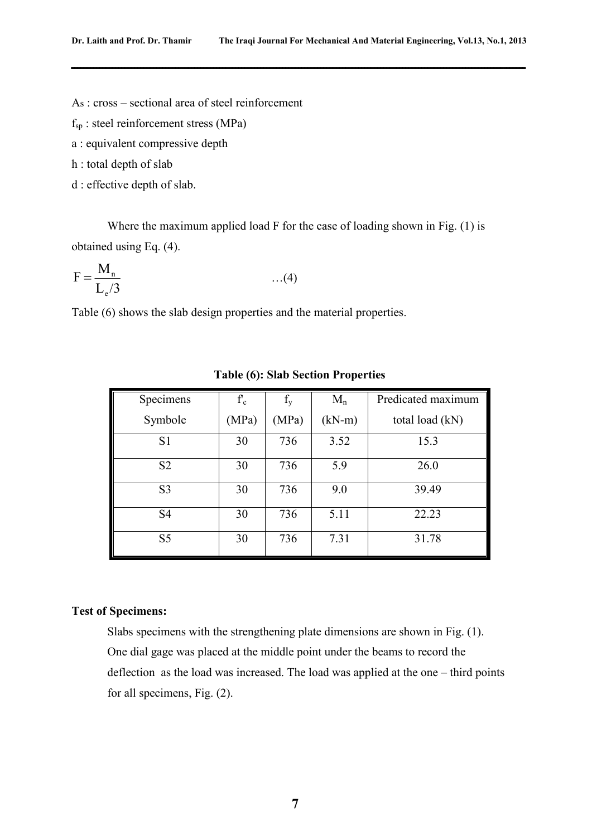As : cross – sectional area of steel reinforcement

 $f_{sp}$ : steel reinforcement stress (MPa)

a : equivalent compressive depth

h : total depth of slab

d : effective depth of slab.

 Where the maximum applied load F for the case of loading shown in Fig. (1) is obtained using Eq. (4).

$$
F = \frac{M_n}{L_e/3} \qquad \qquad ...(4)
$$

Table (6) shows the slab design properties and the material properties.

| Specimens      | $f_c$ | $f_{v}$ | $M_n$    | Predicated maximum |
|----------------|-------|---------|----------|--------------------|
| Symbole        | (MPa) | (MPa)   | $(kN-m)$ | total load (kN)    |
| S <sub>1</sub> | 30    | 736     | 3.52     | 15.3               |
| S <sub>2</sub> | 30    | 736     | 5.9      | 26.0               |
| S <sub>3</sub> | 30    | 736     | 9.0      | 39.49              |
| S <sub>4</sub> | 30    | 736     | 5.11     | 22.23              |
| S <sub>5</sub> | 30    | 736     | 7.31     | 31.78              |

**Table (6): Slab Section Properties** 

## **Test of Specimens:**

 Slabs specimens with the strengthening plate dimensions are shown in Fig. (1). One dial gage was placed at the middle point under the beams to record the deflection as the load was increased. The load was applied at the one – third points for all specimens, Fig. (2).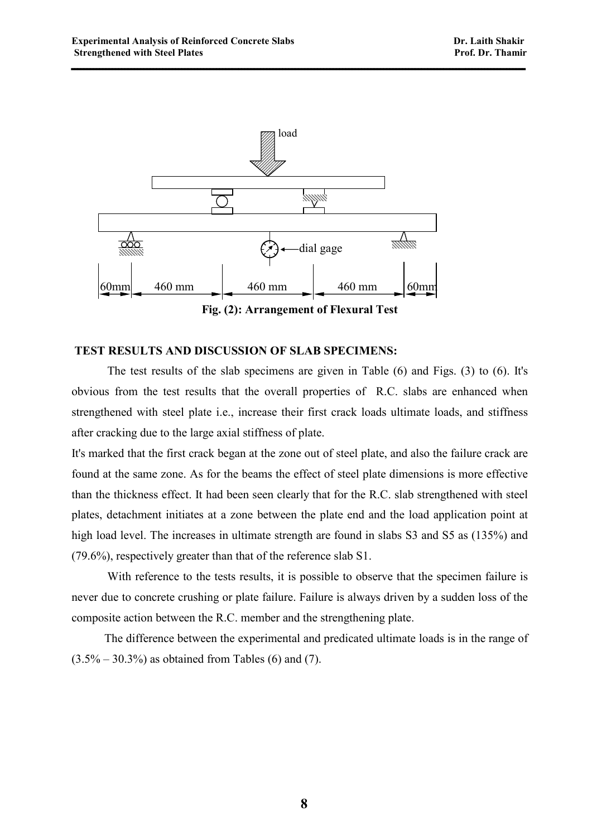

## **Fig. (2): Arrangement of Flexural Test**

**ــــــــــــــــــــــــــــــــــــــــــــــــــــــــــــــــــــــــــــــــــــــــــــــــــــــــــــــــــــــــــــــــــــــــــــــــ**

## **TEST RESULTS AND DISCUSSION OF SLAB SPECIMENS:**

 The test results of the slab specimens are given in Table (6) and Figs. (3) to (6). It's obvious from the test results that the overall properties of R.C. slabs are enhanced when strengthened with steel plate i.e., increase their first crack loads ultimate loads, and stiffness after cracking due to the large axial stiffness of plate.

It's marked that the first crack began at the zone out of steel plate, and also the failure crack are found at the same zone. As for the beams the effect of steel plate dimensions is more effective than the thickness effect. It had been seen clearly that for the R.C. slab strengthened with steel plates, detachment initiates at a zone between the plate end and the load application point at high load level. The increases in ultimate strength are found in slabs S3 and S5 as (135%) and (79.6%), respectively greater than that of the reference slab S1.

With reference to the tests results, it is possible to observe that the specimen failure is never due to concrete crushing or plate failure. Failure is always driven by a sudden loss of the composite action between the R.C. member and the strengthening plate.

 The difference between the experimental and predicated ultimate loads is in the range of  $(3.5\% - 30.3\%)$  as obtained from Tables (6) and (7).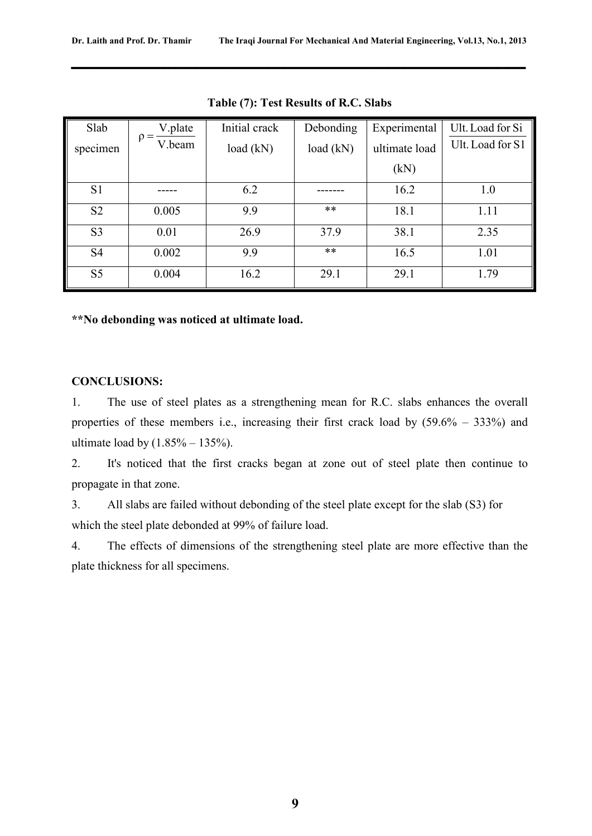| Slab           | V.plate<br>$=$ | Initial crack | Debonding | Experimental  | Ult. Load for Si |
|----------------|----------------|---------------|-----------|---------------|------------------|
| specimen       | ρ<br>V.beam    | load (kN)     | load (kN) | ultimate load | Ult. Load for S1 |
|                |                |               |           | (kN)          |                  |
| S <sub>1</sub> |                | 6.2           |           | 16.2          | 1.0              |
| S <sub>2</sub> | 0.005          | 9.9           | $***$     | 18.1          | 1.11             |
| S <sub>3</sub> | 0.01           | 26.9          | 37.9      | 38.1          | 2.35             |
| S <sub>4</sub> | 0.002          | 9.9           | $***$     | 16.5          | 1.01             |
| S <sub>5</sub> | 0.004          | 16.2          | 29.1      | 29.1          | 1.79             |

**Table (7): Test Results of R.C. Slabs** 

**\*\*No debonding was noticed at ultimate load.** 

## **CONCLUSIONS:**

1. The use of steel plates as a strengthening mean for R.C. slabs enhances the overall properties of these members i.e., increasing their first crack load by (59.6% – 333%) and ultimate load by  $(1.85\% - 135\%)$ .

2. It's noticed that the first cracks began at zone out of steel plate then continue to propagate in that zone.

3. All slabs are failed without debonding of the steel plate except for the slab (S3) for which the steel plate debonded at 99% of failure load.

4. The effects of dimensions of the strengthening steel plate are more effective than the plate thickness for all specimens.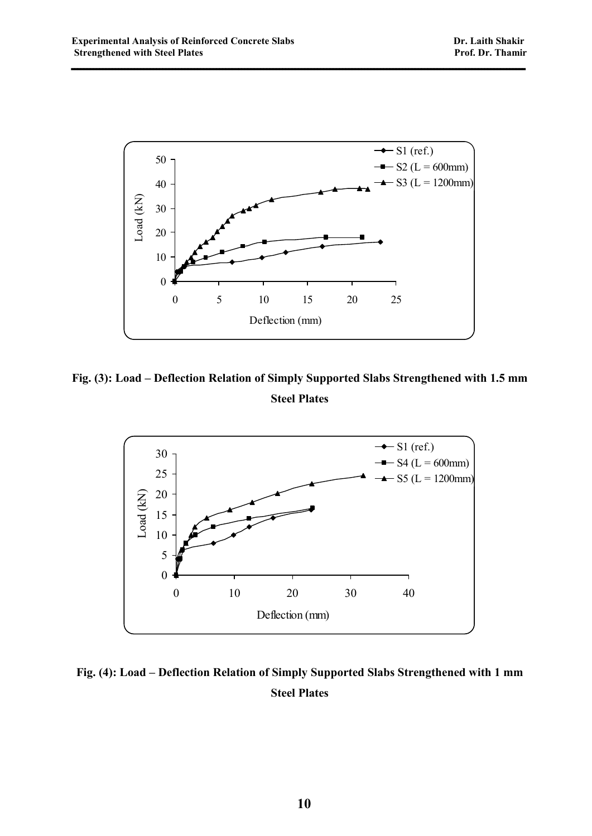

**Fig. (3): Load – Deflection Relation of Simply Supported Slabs Strengthened with 1.5 mm Steel Plates** 



**Fig. (4): Load – Deflection Relation of Simply Supported Slabs Strengthened with 1 mm Steel Plates**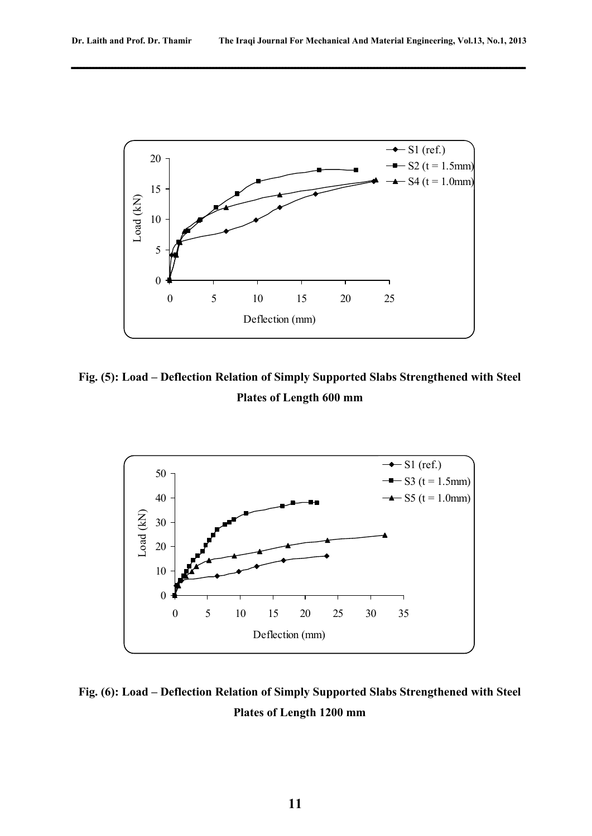

**Fig. (5): Load – Deflection Relation of Simply Supported Slabs Strengthened with Steel Plates of Length 600 mm** 



## **Fig. (6): Load – Deflection Relation of Simply Supported Slabs Strengthened with Steel Plates of Length 1200 mm**